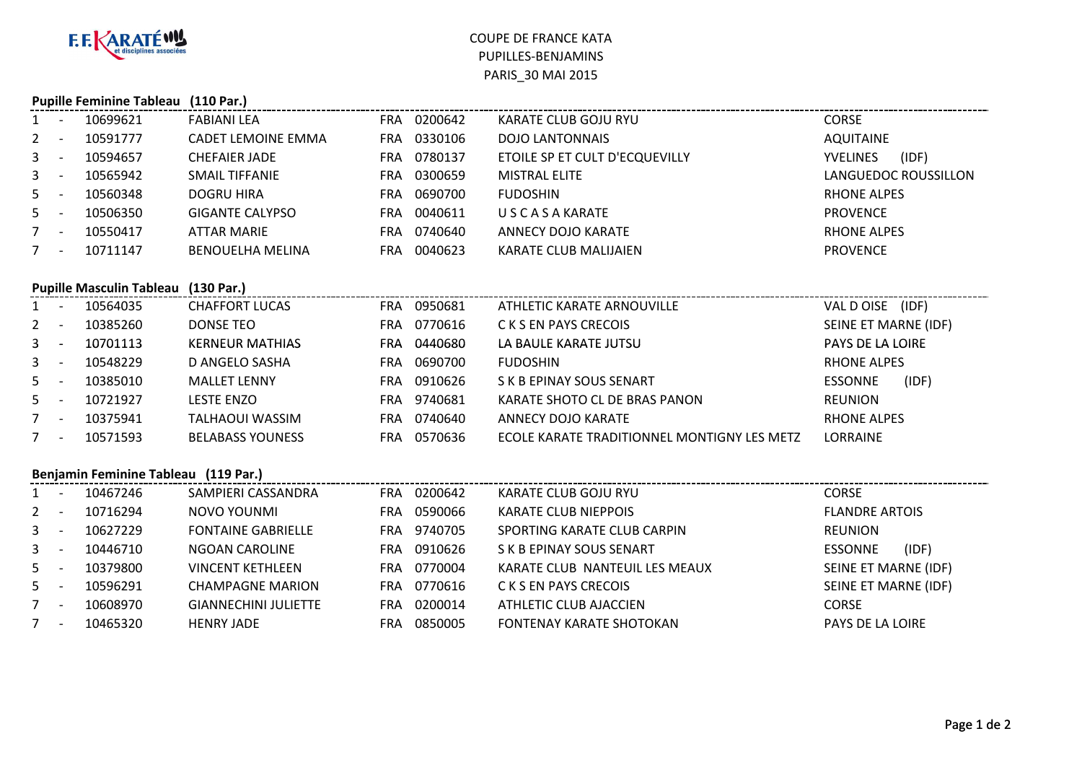

## COUPE DE FRANCE KATA PUPILLES-BENJAMINSPARIS\_30 MAI 2015

| <b>Pupille Feminine Tableau</b><br>$(110 \text{ Par.})$ |                          |                                 |                             |            |             |                                             |                          |  |  |  |
|---------------------------------------------------------|--------------------------|---------------------------------|-----------------------------|------------|-------------|---------------------------------------------|--------------------------|--|--|--|
| 1                                                       | $\sim$ $-$               | 10699621                        | <b>FABIANI LEA</b>          |            | FRA 0200642 | KARATE CLUB GOJU RYU                        | <b>CORSE</b>             |  |  |  |
| $2^{\circ}$                                             | $\overline{\phantom{a}}$ | 10591777                        | <b>CADET LEMOINE EMMA</b>   |            | FRA 0330106 | <b>DOJO LANTONNAIS</b>                      | <b>AQUITAINE</b>         |  |  |  |
| 3                                                       | $\overline{a}$           | 10594657                        | <b>CHEFAIER JADE</b>        |            | FRA 0780137 | ETOILE SP ET CULT D'ECQUEVILLY              | <b>YVELINES</b><br>(IDF) |  |  |  |
| 3                                                       | $\sim$                   | 10565942                        | <b>SMAIL TIFFANIE</b>       |            | FRA 0300659 | <b>MISTRAL ELITE</b>                        | LANGUEDOC ROUSSILLON     |  |  |  |
| 5                                                       | $\sim$                   | 10560348                        | <b>DOGRU HIRA</b>           |            | FRA 0690700 | <b>FUDOSHIN</b>                             | <b>RHONE ALPES</b>       |  |  |  |
| 5                                                       |                          | 10506350                        | <b>GIGANTE CALYPSO</b>      | <b>FRA</b> | 0040611     | <b>USCASAKARATE</b>                         | <b>PROVENCE</b>          |  |  |  |
| $7 -$                                                   |                          | 10550417                        | <b>ATTAR MARIE</b>          |            | FRA 0740640 | <b>ANNECY DOJO KARATE</b>                   | <b>RHONE ALPES</b>       |  |  |  |
| $7^{\circ}$                                             |                          | 10711147                        | <b>BENOUELHA MELINA</b>     | <b>FRA</b> | 0040623     | <b>KARATE CLUB MALIJAIEN</b>                | <b>PROVENCE</b>          |  |  |  |
|                                                         |                          |                                 |                             |            |             |                                             |                          |  |  |  |
|                                                         |                          | <b>Pupille Masculin Tableau</b> | $(130 \text{ Par.})$        |            |             |                                             |                          |  |  |  |
| $1 -$                                                   |                          | 10564035                        | <b>CHAFFORT LUCAS</b>       |            | FRA 0950681 | ATHLETIC KARATE ARNOUVILLE                  | VAL D OISE (IDF)         |  |  |  |
| 2                                                       | $\overline{\phantom{a}}$ | 10385260                        | <b>DONSE TEO</b>            |            | FRA 0770616 | <b>CKS EN PAYS CRECOIS</b>                  | SEINE ET MARNE (IDF)     |  |  |  |
| 3                                                       | $\overline{\phantom{a}}$ | 10701113                        | <b>KERNEUR MATHIAS</b>      |            | FRA 0440680 | LA BAULE KARATE JUTSU                       | PAYS DE LA LOIRE         |  |  |  |
| 3                                                       | $\sim$                   | 10548229                        | D ANGELO SASHA              |            | FRA 0690700 | <b>FUDOSHIN</b>                             | <b>RHONE ALPES</b>       |  |  |  |
| 5.                                                      | $\sim$ $-$               | 10385010                        | <b>MALLET LENNY</b>         |            | FRA 0910626 | S K B EPINAY SOUS SENART                    | (IDF)<br><b>ESSONNE</b>  |  |  |  |
| 5 <sup>1</sup>                                          |                          | 10721927                        | <b>LESTE ENZO</b>           |            | FRA 9740681 | KARATE SHOTO CL DE BRAS PANON               | <b>REUNION</b>           |  |  |  |
| $7^{\circ}$                                             | $\sim$                   | 10375941                        | <b>TALHAOUI WASSIM</b>      |            | FRA 0740640 | <b>ANNECY DOJO KARATE</b>                   | <b>RHONE ALPES</b>       |  |  |  |
| 7                                                       |                          | 10571593                        | <b>BELABASS YOUNESS</b>     |            | FRA 0570636 | ECOLE KARATE TRADITIONNEL MONTIGNY LES METZ | LORRAINE                 |  |  |  |
| Benjamin Feminine Tableau (119 Par.)                    |                          |                                 |                             |            |             |                                             |                          |  |  |  |
| $\mathbf{1}$                                            | $\sim$                   | 10467246                        | SAMPIERI CASSANDRA          |            | FRA 0200642 | KARATE CLUB GOJU RYU                        | <b>CORSE</b>             |  |  |  |
| $2^{\circ}$                                             | $\sim$                   | 10716294                        | NOVO YOUNMI                 |            | FRA 0590066 | <b>KARATE CLUB NIEPPOIS</b>                 | <b>FLANDRE ARTOIS</b>    |  |  |  |
| 3                                                       |                          | 10627229                        | <b>FONTAINE GABRIELLE</b>   |            | FRA 9740705 | SPORTING KARATE CLUB CARPIN                 | <b>REUNION</b>           |  |  |  |
| $\mathbf{3}$                                            | $\sim$ $-$               | 10446710                        | <b>NGOAN CAROLINE</b>       | <b>FRA</b> | 0910626     | S K B EPINAY SOUS SENART                    | <b>ESSONNE</b><br>(IDF)  |  |  |  |
| 5                                                       | $\sim$ $-$               | 10379800                        | <b>VINCENT KETHLEEN</b>     |            | FRA 0770004 | KARATE CLUB NANTEUIL LES MEAUX              | SEINE ET MARNE (IDF)     |  |  |  |
| 5                                                       | $\sim$                   | 10596291                        | <b>CHAMPAGNE MARION</b>     | <b>FRA</b> | 0770616     | C K S EN PAYS CRECOIS                       | SEINE ET MARNE (IDF)     |  |  |  |
| $7 -$                                                   |                          | 10608970                        | <b>GIANNECHINI JULIETTE</b> |            | FRA 0200014 | <b>ATHLETIC CLUB AJACCIEN</b>               | <b>CORSE</b>             |  |  |  |
| $7 -$                                                   |                          | 10465320                        | <b>HENRY JADE</b>           |            | FRA 0850005 | <b>FONTENAY KARATE SHOTOKAN</b>             | PAYS DE LA LOIRE         |  |  |  |
|                                                         |                          |                                 |                             |            |             |                                             |                          |  |  |  |